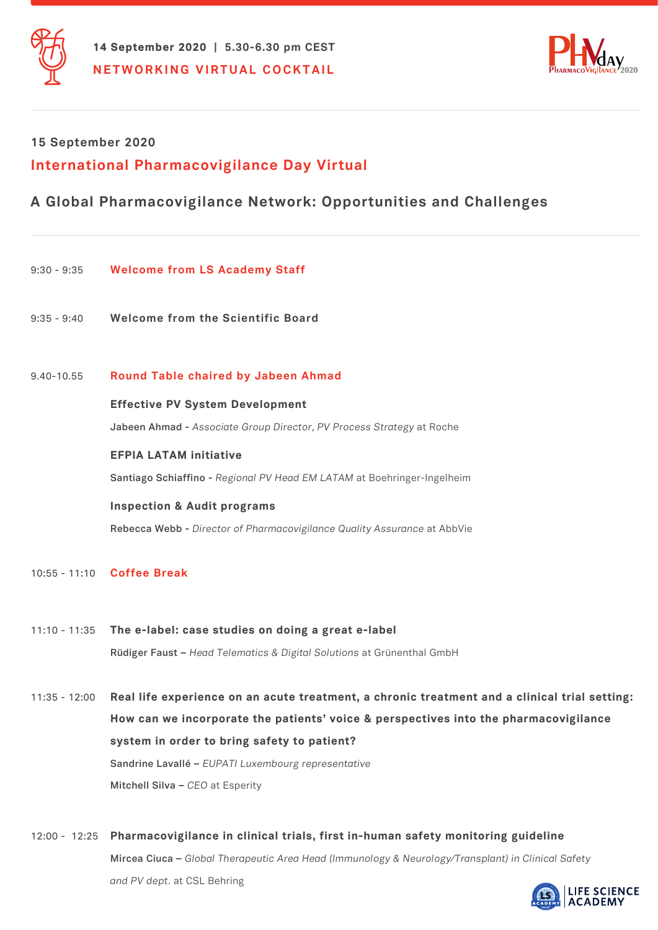



# **International Pharmacovigilance Day Virtual 15 September 2020**

## **A Global Pharmacovigilance Network: Opportunities and Challenges**

- 9:30 9:35 **Welcome from LS Academy Staff**
- 9:35 9:40 **Welcome from the Scientific Board**

## 9.40-10.55 **Round Table chaired by Jabeen Ahmad**

#### **Effective PV System Development**

 **Jabeen Ahmad -** *Associate Group Director, PV Process Strategy* at Roche

## **EFPIA LATAM initiative**

 **Santiago Schiaffino -** *Regional PV Head EM LATAM* at Boehringer-Ingelheim

#### **Inspection & Audit programs**

 **Rebecca Webb -** *Director of Pharmacovigilance Quality Assurance* at AbbVie

10:55 - 11:10 **Coffee Break**

- 11:10 11:35 **The e-label: case studies on doing a great e-label Rüdiger Faust –** *Head Telematics & Digital Solutions* at Grünenthal GmbH
- 11:35 12:00 **Real life experience on an acute treatment, a chronic treatment and a clinical trial setting: How can we incorporate the patients' voice & perspectives into the pharmacovigilance system in order to bring safety to patient? Sandrine Lavallé –** *EUPATI Luxembourg representative*  **Mitchell Silva –** *CEO* at Esperity
- 12:00 12:25 **Pharmacovigilance in clinical trials, first in-human safety monitoring guideline Mircea Ciuca –** *Global Therapeutic Area Head (Immunology & Neurology/Transplant) in Clinical Safety and PV dept.* at CSL Behring